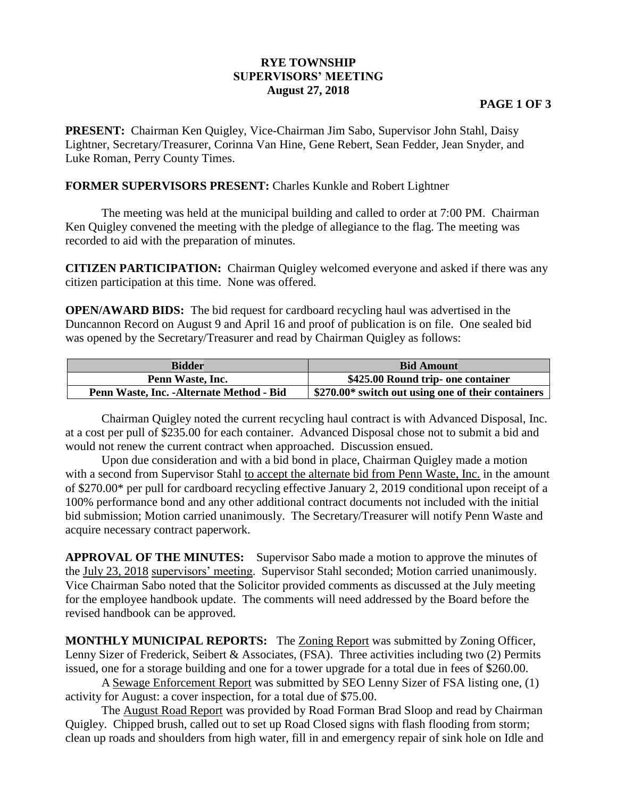## **RYE TOWNSHIP SUPERVISORS' MEETING August 27, 2018**

## **PAGE 1 OF 3**

**PRESENT:** Chairman Ken Quigley, Vice-Chairman Jim Sabo, Supervisor John Stahl, Daisy Lightner, Secretary/Treasurer, Corinna Van Hine, Gene Rebert, Sean Fedder, Jean Snyder, and Luke Roman, Perry County Times.

## **FORMER SUPERVISORS PRESENT:** Charles Kunkle and Robert Lightner

The meeting was held at the municipal building and called to order at 7:00 PM. Chairman Ken Quigley convened the meeting with the pledge of allegiance to the flag. The meeting was recorded to aid with the preparation of minutes.

**CITIZEN PARTICIPATION:** Chairman Quigley welcomed everyone and asked if there was any citizen participation at this time. None was offered.

**OPEN/AWARD BIDS:** The bid request for cardboard recycling haul was advertised in the Duncannon Record on August 9 and April 16 and proof of publication is on file. One sealed bid was opened by the Secretary/Treasurer and read by Chairman Quigley as follows:

| <b>Bidder</b>                             | <b>Bid Amount</b>                                  |
|-------------------------------------------|----------------------------------------------------|
| Penn Waste, Inc.                          | \$425.00 Round trip- one container                 |
| Penn Waste, Inc. - Alternate Method - Bid | \$270.00* switch out using one of their containers |

Chairman Quigley noted the current recycling haul contract is with Advanced Disposal, Inc. at a cost per pull of \$235.00 for each container. Advanced Disposal chose not to submit a bid and would not renew the current contract when approached. Discussion ensued.

Upon due consideration and with a bid bond in place, Chairman Quigley made a motion with a second from Supervisor Stahl to accept the alternate bid from Penn Waste, Inc. in the amount of \$270.00\* per pull for cardboard recycling effective January 2, 2019 conditional upon receipt of a 100% performance bond and any other additional contract documents not included with the initial bid submission; Motion carried unanimously. The Secretary/Treasurer will notify Penn Waste and acquire necessary contract paperwork.

**APPROVAL OF THE MINUTES:** Supervisor Sabo made a motion to approve the minutes of the July 23, 2018 supervisors' meeting. Supervisor Stahl seconded; Motion carried unanimously. Vice Chairman Sabo noted that the Solicitor provided comments as discussed at the July meeting for the employee handbook update. The comments will need addressed by the Board before the revised handbook can be approved.

**MONTHLY MUNICIPAL REPORTS:** The Zoning Report was submitted by Zoning Officer, Lenny Sizer of Frederick, Seibert & Associates, (FSA).Three activities including two (2) Permits issued, one for a storage building and one for a tower upgrade for a total due in fees of \$260.00.

A Sewage Enforcement Report was submitted by SEO Lenny Sizer of FSA listing one, (1) activity for August: a cover inspection, for a total due of \$75.00.

The August Road Report was provided by Road Forman Brad Sloop and read by Chairman Quigley. Chipped brush, called out to set up Road Closed signs with flash flooding from storm; clean up roads and shoulders from high water, fill in and emergency repair of sink hole on Idle and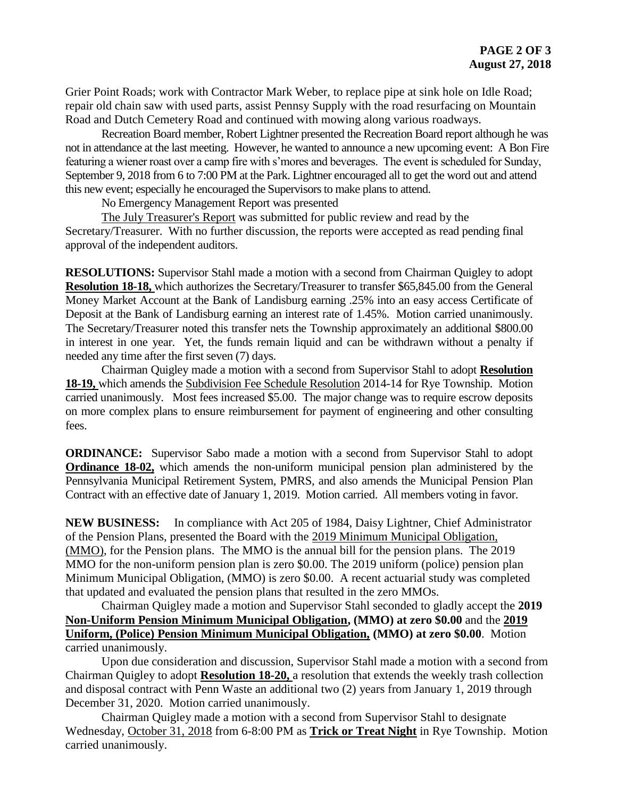Grier Point Roads; work with Contractor Mark Weber, to replace pipe at sink hole on Idle Road; repair old chain saw with used parts, assist Pennsy Supply with the road resurfacing on Mountain Road and Dutch Cemetery Road and continued with mowing along various roadways.

Recreation Board member, Robert Lightner presented the Recreation Board report although he was not in attendance at the last meeting. However, he wanted to announce a new upcoming event: A Bon Fire featuring a wiener roast over a camp fire with s'mores and beverages. The event is scheduled for Sunday, September 9, 2018 from 6 to 7:00 PM at the Park. Lightner encouraged all to get the word out and attend this new event; especially he encouraged the Supervisors to make plans to attend.

No Emergency Management Report was presented

The July Treasurer's Report was submitted for public review and read by the Secretary/Treasurer. With no further discussion, the reports were accepted as read pending final approval of the independent auditors.

**RESOLUTIONS:** Supervisor Stahl made a motion with a second from Chairman Quigley to adopt **Resolution 18-18,** which authorizes the Secretary/Treasurer to transfer \$65,845.00 from the General Money Market Account at the Bank of Landisburg earning .25% into an easy access Certificate of Deposit at the Bank of Landisburg earning an interest rate of 1.45%. Motion carried unanimously. The Secretary/Treasurer noted this transfer nets the Township approximately an additional \$800.00 in interest in one year. Yet, the funds remain liquid and can be withdrawn without a penalty if needed any time after the first seven (7) days.

Chairman Quigley made a motion with a second from Supervisor Stahl to adopt **Resolution 18-19,** which amends the Subdivision Fee Schedule Resolution 2014-14 for Rye Township. Motion carried unanimously. Most fees increased \$5.00. The major change was to require escrow deposits on more complex plans to ensure reimbursement for payment of engineering and other consulting fees.

**ORDINANCE:** Supervisor Sabo made a motion with a second from Supervisor Stahl to adopt **Ordinance 18-02,** which amends the non-uniform municipal pension plan administered by the Pennsylvania Municipal Retirement System, PMRS, and also amends the Municipal Pension Plan Contract with an effective date of January 1, 2019. Motion carried. All members voting in favor.

**NEW BUSINESS:** In compliance with Act 205 of 1984, Daisy Lightner, Chief Administrator of the Pension Plans, presented the Board with the 2019 Minimum Municipal Obligation, (MMO), for the Pension plans. The MMO is the annual bill for the pension plans. The 2019 MMO for the non-uniform pension plan is zero \$0.00. The 2019 uniform (police) pension plan Minimum Municipal Obligation, (MMO) is zero \$0.00. A recent actuarial study was completed that updated and evaluated the pension plans that resulted in the zero MMOs.

Chairman Quigley made a motion and Supervisor Stahl seconded to gladly accept the **2019 Non-Uniform Pension Minimum Municipal Obligation, (MMO) at zero \$0.00** and the **2019 Uniform, (Police) Pension Minimum Municipal Obligation, (MMO) at zero \$0.00**. Motion carried unanimously.

Upon due consideration and discussion, Supervisor Stahl made a motion with a second from Chairman Quigley to adopt **Resolution 18-20,** a resolution that extends the weekly trash collection and disposal contract with Penn Waste an additional two (2) years from January 1, 2019 through December 31, 2020. Motion carried unanimously.

Chairman Quigley made a motion with a second from Supervisor Stahl to designate Wednesday, October 31, 2018 from 6-8:00 PM as **Trick or Treat Night** in Rye Township. Motion carried unanimously.